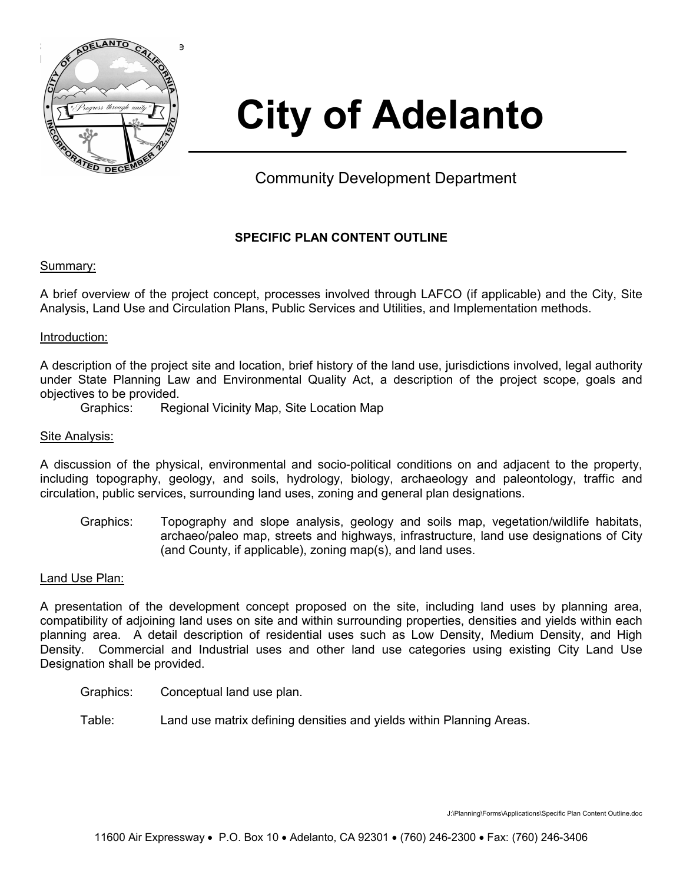

# **City of Adelanto**

Community Development Department

# **SPECIFIC PLAN CONTENT OUTLINE**

# Summary:

A brief overview of the project concept, processes involved through LAFCO (if applicable) and the City, Site Analysis, Land Use and Circulation Plans, Public Services and Utilities, and Implementation methods.

# Introduction:

A description of the project site and location, brief history of the land use, jurisdictions involved, legal authority under State Planning Law and Environmental Quality Act, a description of the project scope, goals and objectives to be provided.

Graphics: Regional Vicinity Map, Site Location Map

# Site Analysis:

A discussion of the physical, environmental and socio-political conditions on and adjacent to the property, including topography, geology, and soils, hydrology, biology, archaeology and paleontology, traffic and circulation, public services, surrounding land uses, zoning and general plan designations.

Graphics: Topography and slope analysis, geology and soils map, vegetation/wildlife habitats, archaeo/paleo map, streets and highways, infrastructure, land use designations of City (and County, if applicable), zoning map(s), and land uses.

# Land Use Plan:

A presentation of the development concept proposed on the site, including land uses by planning area, compatibility of adjoining land uses on site and within surrounding properties, densities and yields within each planning area. A detail description of residential uses such as Low Density, Medium Density, and High Density. Commercial and Industrial uses and other land use categories using existing City Land Use Designation shall be provided.

- Graphics: Conceptual land use plan.
- Table: Land use matrix defining densities and yields within Planning Areas.

J:\Planning\Forms\Applications\Specific Plan Content Outline.doc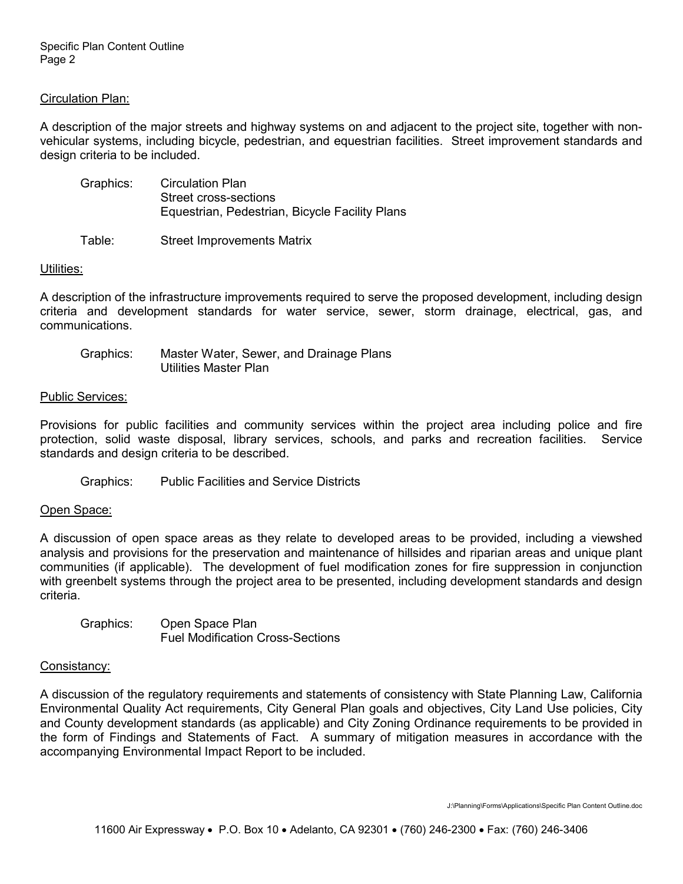Specific Plan Content Outline Page 2

## Circulation Plan:

A description of the major streets and highway systems on and adjacent to the project site, together with nonvehicular systems, including bicycle, pedestrian, and equestrian facilities. Street improvement standards and design criteria to be included.

| <b>Circulation Plan</b>                        |
|------------------------------------------------|
| Street cross-sections                          |
| Equestrian, Pedestrian, Bicycle Facility Plans |
|                                                |

Table: Street Improvements Matrix

## Utilities:

A description of the infrastructure improvements required to serve the proposed development, including design criteria and development standards for water service, sewer, storm drainage, electrical, gas, and communications.

| Graphics: | Master Water, Sewer, and Drainage Plans |
|-----------|-----------------------------------------|
|           | Utilities Master Plan                   |

#### Public Services:

Provisions for public facilities and community services within the project area including police and fire protection, solid waste disposal, library services, schools, and parks and recreation facilities. Service standards and design criteria to be described.

Graphics: Public Facilities and Service Districts

## Open Space:

A discussion of open space areas as they relate to developed areas to be provided, including a viewshed analysis and provisions for the preservation and maintenance of hillsides and riparian areas and unique plant communities (if applicable). The development of fuel modification zones for fire suppression in conjunction with greenbelt systems through the project area to be presented, including development standards and design criteria.

Graphics: Open Space Plan Fuel Modification Cross-Sections

## Consistancy:

A discussion of the regulatory requirements and statements of consistency with State Planning Law, California Environmental Quality Act requirements, City General Plan goals and objectives, City Land Use policies, City and County development standards (as applicable) and City Zoning Ordinance requirements to be provided in the form of Findings and Statements of Fact. A summary of mitigation measures in accordance with the accompanying Environmental Impact Report to be included.

J:\Planning\Forms\Applications\Specific Plan Content Outline.doc